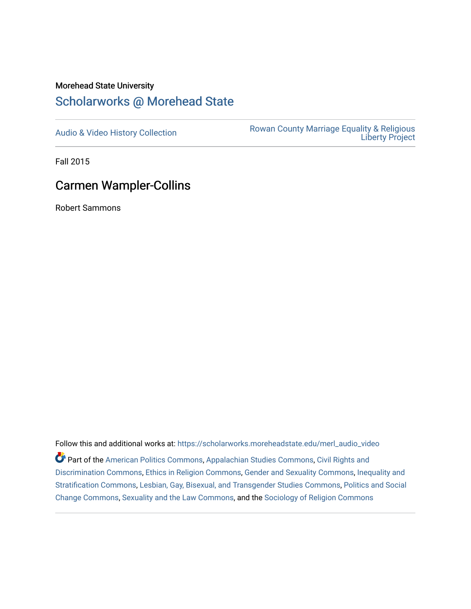### Morehead State University

## [Scholarworks @ Morehead State](https://scholarworks.moreheadstate.edu/)

[Audio & Video History Collection](https://scholarworks.moreheadstate.edu/merl_audio_video) **Rowan County Marriage Equality & Religious** [Liberty Project](https://scholarworks.moreheadstate.edu/merl) 

Fall 2015

# Carmen Wampler-Collins

Robert Sammons

Follow this and additional works at: [https://scholarworks.moreheadstate.edu/merl\\_audio\\_video](https://scholarworks.moreheadstate.edu/merl_audio_video?utm_source=scholarworks.moreheadstate.edu%2Fmerl_audio_video%2F94&utm_medium=PDF&utm_campaign=PDFCoverPages)  Part of the [American Politics Commons,](http://network.bepress.com/hgg/discipline/387?utm_source=scholarworks.moreheadstate.edu%2Fmerl_audio_video%2F94&utm_medium=PDF&utm_campaign=PDFCoverPages) [Appalachian Studies Commons,](http://network.bepress.com/hgg/discipline/1253?utm_source=scholarworks.moreheadstate.edu%2Fmerl_audio_video%2F94&utm_medium=PDF&utm_campaign=PDFCoverPages) [Civil Rights and](http://network.bepress.com/hgg/discipline/585?utm_source=scholarworks.moreheadstate.edu%2Fmerl_audio_video%2F94&utm_medium=PDF&utm_campaign=PDFCoverPages) [Discrimination Commons,](http://network.bepress.com/hgg/discipline/585?utm_source=scholarworks.moreheadstate.edu%2Fmerl_audio_video%2F94&utm_medium=PDF&utm_campaign=PDFCoverPages) [Ethics in Religion Commons,](http://network.bepress.com/hgg/discipline/541?utm_source=scholarworks.moreheadstate.edu%2Fmerl_audio_video%2F94&utm_medium=PDF&utm_campaign=PDFCoverPages) [Gender and Sexuality Commons](http://network.bepress.com/hgg/discipline/420?utm_source=scholarworks.moreheadstate.edu%2Fmerl_audio_video%2F94&utm_medium=PDF&utm_campaign=PDFCoverPages), [Inequality and](http://network.bepress.com/hgg/discipline/421?utm_source=scholarworks.moreheadstate.edu%2Fmerl_audio_video%2F94&utm_medium=PDF&utm_campaign=PDFCoverPages)  [Stratification Commons](http://network.bepress.com/hgg/discipline/421?utm_source=scholarworks.moreheadstate.edu%2Fmerl_audio_video%2F94&utm_medium=PDF&utm_campaign=PDFCoverPages), [Lesbian, Gay, Bisexual, and Transgender Studies Commons,](http://network.bepress.com/hgg/discipline/560?utm_source=scholarworks.moreheadstate.edu%2Fmerl_audio_video%2F94&utm_medium=PDF&utm_campaign=PDFCoverPages) [Politics and Social](http://network.bepress.com/hgg/discipline/425?utm_source=scholarworks.moreheadstate.edu%2Fmerl_audio_video%2F94&utm_medium=PDF&utm_campaign=PDFCoverPages)  [Change Commons](http://network.bepress.com/hgg/discipline/425?utm_source=scholarworks.moreheadstate.edu%2Fmerl_audio_video%2F94&utm_medium=PDF&utm_campaign=PDFCoverPages), [Sexuality and the Law Commons,](http://network.bepress.com/hgg/discipline/877?utm_source=scholarworks.moreheadstate.edu%2Fmerl_audio_video%2F94&utm_medium=PDF&utm_campaign=PDFCoverPages) and the [Sociology of Religion Commons](http://network.bepress.com/hgg/discipline/1365?utm_source=scholarworks.moreheadstate.edu%2Fmerl_audio_video%2F94&utm_medium=PDF&utm_campaign=PDFCoverPages)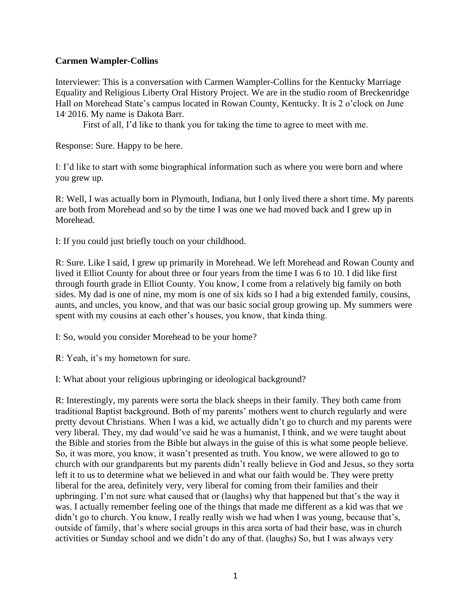### **Carmen Wampler-Collins**

Interviewer: This is a conversation with Carmen Wampler-Collins for the Kentucky Marriage Equality and Religious Liberty Oral History Project. We are in the studio room of Breckenridge Hall on Morehead State's campus located in Rowan County, Kentucky. It is 2 o'clock on June 14, 2016. My name is Dakota Barr.

First of all, I'd like to thank you for taking the time to agree to meet with me.

Response: Sure. Happy to be here.

I: I'd like to start with some biographical information such as where you were born and where you grew up.

R: Well, I was actually born in Plymouth, Indiana, but I only lived there a short time. My parents are both from Morehead and so by the time I was one we had moved back and I grew up in Morehead.

I: If you could just briefly touch on your childhood.

R: Sure. Like I said, I grew up primarily in Morehead. We left Morehead and Rowan County and lived it Elliot County for about three or four years from the time I was 6 to 10. I did like first through fourth grade in Elliot County. You know, I come from a relatively big family on both sides. My dad is one of nine, my mom is one of six kids so I had a big extended family, cousins, aunts, and uncles, you know, and that was our basic social group growing up. My summers were spent with my cousins at each other's houses, you know, that kinda thing.

I: So, would you consider Morehead to be your home?

R: Yeah, it's my hometown for sure.

I: What about your religious upbringing or ideological background?

R: Interestingly, my parents were sorta the black sheeps in their family. They both came from traditional Baptist background. Both of my parents' mothers went to church regularly and were pretty devout Christians. When I was a kid, we actually didn't go to church and my parents were very liberal. They, my dad would've said he was a humanist, I think, and we were taught about the Bible and stories from the Bible but always in the guise of this is what some people believe. So, it was more, you know, it wasn't presented as truth. You know, we were allowed to go to church with our grandparents but my parents didn't really believe in God and Jesus, so they sorta left it to us to determine what we believed in and what our faith would be. They were pretty liberal for the area, definitely very, very liberal for coming from their families and their upbringing. I'm not sure what caused that or (laughs) why that happened but that's the way it was. I actually remember feeling one of the things that made me different as a kid was that we didn't go to church. You know, I really really wish we had when I was young, because that's, outside of family, that's where social groups in this area sorta of had their base, was in church activities or Sunday school and we didn't do any of that. (laughs) So, but I was always very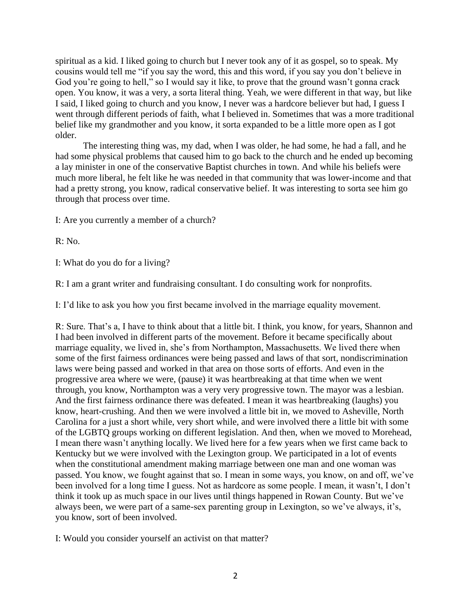spiritual as a kid. I liked going to church but I never took any of it as gospel, so to speak. My cousins would tell me "if you say the word, this and this word, if you say you don't believe in God you're going to hell," so I would say it like, to prove that the ground wasn't gonna crack open. You know, it was a very, a sorta literal thing. Yeah, we were different in that way, but like I said, I liked going to church and you know, I never was a hardcore believer but had, I guess I went through different periods of faith, what I believed in. Sometimes that was a more traditional belief like my grandmother and you know, it sorta expanded to be a little more open as I got older.

The interesting thing was, my dad, when I was older, he had some, he had a fall, and he had some physical problems that caused him to go back to the church and he ended up becoming a lay minister in one of the conservative Baptist churches in town. And while his beliefs were much more liberal, he felt like he was needed in that community that was lower-income and that had a pretty strong, you know, radical conservative belief. It was interesting to sorta see him go through that process over time.

I: Are you currently a member of a church?

R: No.

I: What do you do for a living?

R: I am a grant writer and fundraising consultant. I do consulting work for nonprofits.

I: I'd like to ask you how you first became involved in the marriage equality movement.

R: Sure. That's a, I have to think about that a little bit. I think, you know, for years, Shannon and I had been involved in different parts of the movement. Before it became specifically about marriage equality, we lived in, she's from Northampton, Massachusetts. We lived there when some of the first fairness ordinances were being passed and laws of that sort, nondiscrimination laws were being passed and worked in that area on those sorts of efforts. And even in the progressive area where we were, (pause) it was heartbreaking at that time when we went through, you know, Northampton was a very very progressive town. The mayor was a lesbian. And the first fairness ordinance there was defeated. I mean it was heartbreaking (laughs) you know, heart-crushing. And then we were involved a little bit in, we moved to Asheville, North Carolina for a just a short while, very short while, and were involved there a little bit with some of the LGBTQ groups working on different legislation. And then, when we moved to Morehead, I mean there wasn't anything locally. We lived here for a few years when we first came back to Kentucky but we were involved with the Lexington group. We participated in a lot of events when the constitutional amendment making marriage between one man and one woman was passed. You know, we fought against that so. I mean in some ways, you know, on and off, we've been involved for a long time I guess. Not as hardcore as some people. I mean, it wasn't, I don't think it took up as much space in our lives until things happened in Rowan County. But we've always been, we were part of a same-sex parenting group in Lexington, so we've always, it's, you know, sort of been involved.

I: Would you consider yourself an activist on that matter?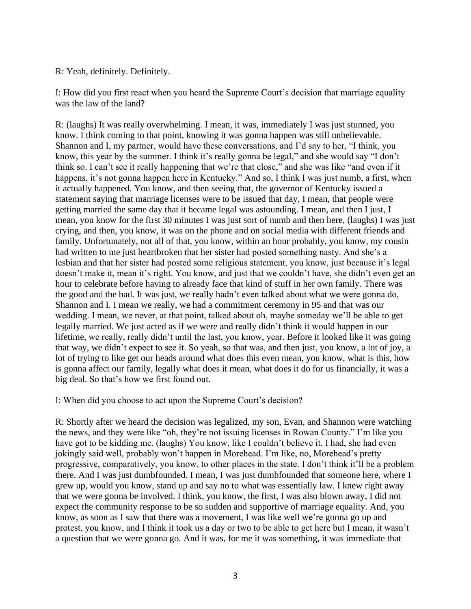R: Yeah, definitely. Definitely.

I: How did you first react when you heard the Supreme Court's decision that marriage equality was the law of the land?

R: (laughs) It was really overwhelming. I mean, it was, immediately I was just stunned, you know. I think coming to that point, knowing it was gonna happen was still unbelievable. Shannon and I, my partner, would have these conversations, and I'd say to her, "I think, you know, this year by the summer. I think it's really gonna be legal," and she would say "I don't think so. I can't see it really happening that we're that close," and she was like "and even if it happens, it's not gonna happen here in Kentucky." And so, I think I was just numb, a first, when it actually happened. You know, and then seeing that, the governor of Kentucky issued a statement saying that marriage licenses were to be issued that day, I mean, that people were getting married the same day that it became legal was astounding. I mean, and then I just, I mean, you know for the first 30 minutes I was just sort of numb and then here, (laughs) I was just crying, and then, you know, it was on the phone and on social media with different friends and family. Unfortunately, not all of that, you know, within an hour probably, you know, my cousin had written to me just heartbroken that her sister had posted something nasty. And she's a lesbian and that her sister had posted some religious statement, you know, just because it's legal doesn't make it, mean it's right. You know, and just that we couldn't have, she didn't even get an hour to celebrate before having to already face that kind of stuff in her own family. There was the good and the bad. It was just, we really hadn't even talked about what we were gonna do, Shannon and I. I mean we really, we had a commitment ceremony in 95 and that was our wedding. I mean, we never, at that point, talked about oh, maybe someday we'll be able to get legally married. We just acted as if we were and really didn't think it would happen in our lifetime, we really, really didn't until the last, you know, year. Before it looked like it was going that way, we didn't expect to see it. So yeah, so that was, and then just, you know, a lot of joy, a lot of trying to like get our heads around what does this even mean, you know, what is this, how is gonna affect our family, legally what does it mean, what does it do for us financially, it was a big deal. So that's how we first found out.

I: When did you choose to act upon the Supreme Court's decision?

R: Shortly after we heard the decision was legalized, my son, Evan, and Shannon were watching the news, and they were like "oh, they're not issuing licenses in Rowan County." I'm like you have got to be kidding me. (laughs) You know, like I couldn't believe it. I had, she had even jokingly said well, probably won't happen in Morehead. I'm like, no, Morehead's pretty progressive, comparatively, you know, to other places in the state. I don't think it'll be a problem there. And I was just dumbfounded. I mean, I was just dumbfounded that someone here, where I grew up, would you know, stand up and say no to what was essentially law. I knew right away that we were gonna be involved. I think, you know, the first, I was also blown away, I did not expect the community response to be so sudden and supportive of marriage equality. And, you know, as soon as I saw that there was a movement, I was like well we're gonna go up and protest, you know, and I think it took us a day or two to be able to get here but I mean, it wasn't a question that we were gonna go. And it was, for me it was something, it was immediate that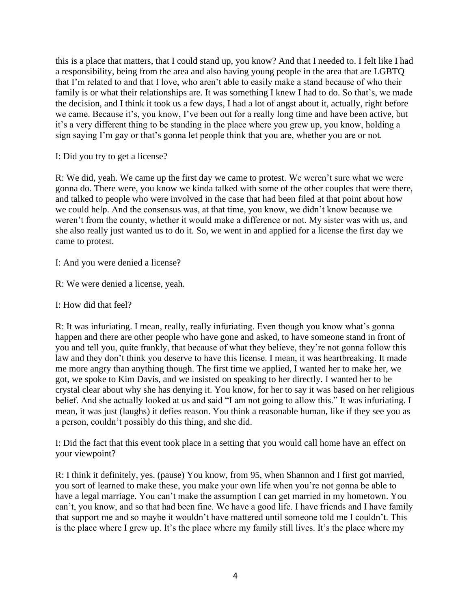this is a place that matters, that I could stand up, you know? And that I needed to. I felt like I had a responsibility, being from the area and also having young people in the area that are LGBTQ that I'm related to and that I love, who aren't able to easily make a stand because of who their family is or what their relationships are. It was something I knew I had to do. So that's, we made the decision, and I think it took us a few days, I had a lot of angst about it, actually, right before we came. Because it's, you know, I've been out for a really long time and have been active, but it's a very different thing to be standing in the place where you grew up, you know, holding a sign saying I'm gay or that's gonna let people think that you are, whether you are or not.

I: Did you try to get a license?

R: We did, yeah. We came up the first day we came to protest. We weren't sure what we were gonna do. There were, you know we kinda talked with some of the other couples that were there, and talked to people who were involved in the case that had been filed at that point about how we could help. And the consensus was, at that time, you know, we didn't know because we weren't from the county, whether it would make a difference or not. My sister was with us, and she also really just wanted us to do it. So, we went in and applied for a license the first day we came to protest.

I: And you were denied a license?

R: We were denied a license, yeah.

I: How did that feel?

R: It was infuriating. I mean, really, really infuriating. Even though you know what's gonna happen and there are other people who have gone and asked, to have someone stand in front of you and tell you, quite frankly, that because of what they believe, they're not gonna follow this law and they don't think you deserve to have this license. I mean, it was heartbreaking. It made me more angry than anything though. The first time we applied, I wanted her to make her, we got, we spoke to Kim Davis, and we insisted on speaking to her directly. I wanted her to be crystal clear about why she has denying it. You know, for her to say it was based on her religious belief. And she actually looked at us and said "I am not going to allow this." It was infuriating. I mean, it was just (laughs) it defies reason. You think a reasonable human, like if they see you as a person, couldn't possibly do this thing, and she did.

I: Did the fact that this event took place in a setting that you would call home have an effect on your viewpoint?

R: I think it definitely, yes. (pause) You know, from 95, when Shannon and I first got married, you sort of learned to make these, you make your own life when you're not gonna be able to have a legal marriage. You can't make the assumption I can get married in my hometown. You can't, you know, and so that had been fine. We have a good life. I have friends and I have family that support me and so maybe it wouldn't have mattered until someone told me I couldn't. This is the place where I grew up. It's the place where my family still lives. It's the place where my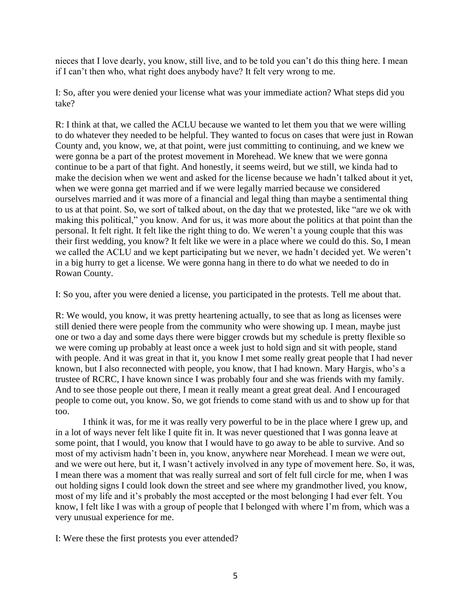nieces that I love dearly, you know, still live, and to be told you can't do this thing here. I mean if I can't then who, what right does anybody have? It felt very wrong to me.

I: So, after you were denied your license what was your immediate action? What steps did you take?

R: I think at that, we called the ACLU because we wanted to let them you that we were willing to do whatever they needed to be helpful. They wanted to focus on cases that were just in Rowan County and, you know, we, at that point, were just committing to continuing, and we knew we were gonna be a part of the protest movement in Morehead. We knew that we were gonna continue to be a part of that fight. And honestly, it seems weird, but we still, we kinda had to make the decision when we went and asked for the license because we hadn't talked about it yet, when we were gonna get married and if we were legally married because we considered ourselves married and it was more of a financial and legal thing than maybe a sentimental thing to us at that point. So, we sort of talked about, on the day that we protested, like "are we ok with making this political," you know. And for us, it was more about the politics at that point than the personal. It felt right. It felt like the right thing to do. We weren't a young couple that this was their first wedding, you know? It felt like we were in a place where we could do this. So, I mean we called the ACLU and we kept participating but we never, we hadn't decided yet. We weren't in a big hurry to get a license. We were gonna hang in there to do what we needed to do in Rowan County.

I: So you, after you were denied a license, you participated in the protests. Tell me about that.

R: We would, you know, it was pretty heartening actually, to see that as long as licenses were still denied there were people from the community who were showing up. I mean, maybe just one or two a day and some days there were bigger crowds but my schedule is pretty flexible so we were coming up probably at least once a week just to hold sign and sit with people, stand with people. And it was great in that it, you know I met some really great people that I had never known, but I also reconnected with people, you know, that I had known. Mary Hargis, who's a trustee of RCRC, I have known since I was probably four and she was friends with my family. And to see those people out there, I mean it really meant a great great deal. And I encouraged people to come out, you know. So, we got friends to come stand with us and to show up for that too.

I think it was, for me it was really very powerful to be in the place where I grew up, and in a lot of ways never felt like I quite fit in. It was never questioned that I was gonna leave at some point, that I would, you know that I would have to go away to be able to survive. And so most of my activism hadn't been in, you know, anywhere near Morehead. I mean we were out, and we were out here, but it, I wasn't actively involved in any type of movement here. So, it was, I mean there was a moment that was really surreal and sort of felt full circle for me, when I was out holding signs I could look down the street and see where my grandmother lived, you know, most of my life and it's probably the most accepted or the most belonging I had ever felt. You know, I felt like I was with a group of people that I belonged with where I'm from, which was a very unusual experience for me.

I: Were these the first protests you ever attended?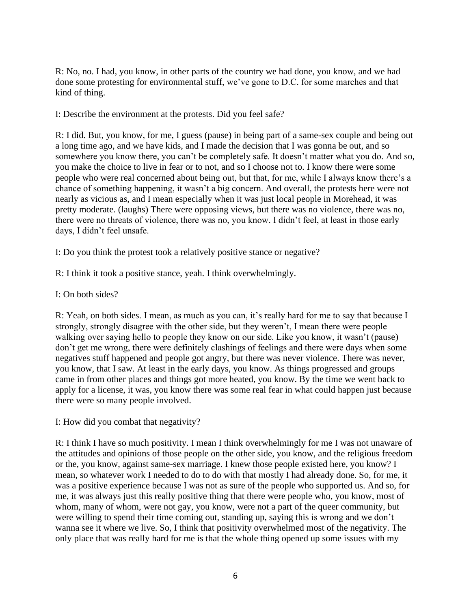R: No, no. I had, you know, in other parts of the country we had done, you know, and we had done some protesting for environmental stuff, we've gone to D.C. for some marches and that kind of thing.

I: Describe the environment at the protests. Did you feel safe?

R: I did. But, you know, for me, I guess (pause) in being part of a same-sex couple and being out a long time ago, and we have kids, and I made the decision that I was gonna be out, and so somewhere you know there, you can't be completely safe. It doesn't matter what you do. And so, you make the choice to live in fear or to not, and so I choose not to. I know there were some people who were real concerned about being out, but that, for me, while I always know there's a chance of something happening, it wasn't a big concern. And overall, the protests here were not nearly as vicious as, and I mean especially when it was just local people in Morehead, it was pretty moderate. (laughs) There were opposing views, but there was no violence, there was no, there were no threats of violence, there was no, you know. I didn't feel, at least in those early days, I didn't feel unsafe.

I: Do you think the protest took a relatively positive stance or negative?

R: I think it took a positive stance, yeah. I think overwhelmingly.

I: On both sides?

R: Yeah, on both sides. I mean, as much as you can, it's really hard for me to say that because I strongly, strongly disagree with the other side, but they weren't, I mean there were people walking over saying hello to people they know on our side. Like you know, it wasn't (pause) don't get me wrong, there were definitely clashings of feelings and there were days when some negatives stuff happened and people got angry, but there was never violence. There was never, you know, that I saw. At least in the early days, you know. As things progressed and groups came in from other places and things got more heated, you know. By the time we went back to apply for a license, it was, you know there was some real fear in what could happen just because there were so many people involved.

I: How did you combat that negativity?

R: I think I have so much positivity. I mean I think overwhelmingly for me I was not unaware of the attitudes and opinions of those people on the other side, you know, and the religious freedom or the, you know, against same-sex marriage. I knew those people existed here, you know? I mean, so whatever work I needed to do to do with that mostly I had already done. So, for me, it was a positive experience because I was not as sure of the people who supported us. And so, for me, it was always just this really positive thing that there were people who, you know, most of whom, many of whom, were not gay, you know, were not a part of the queer community, but were willing to spend their time coming out, standing up, saying this is wrong and we don't wanna see it where we live. So, I think that positivity overwhelmed most of the negativity. The only place that was really hard for me is that the whole thing opened up some issues with my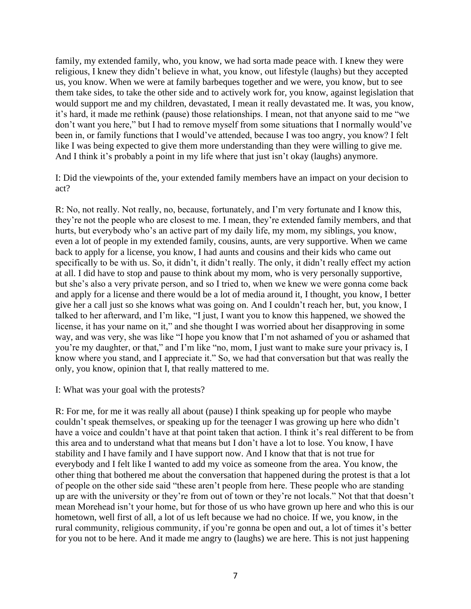family, my extended family, who, you know, we had sorta made peace with. I knew they were religious, I knew they didn't believe in what, you know, out lifestyle (laughs) but they accepted us, you know. When we were at family barbeques together and we were, you know, but to see them take sides, to take the other side and to actively work for, you know, against legislation that would support me and my children, devastated, I mean it really devastated me. It was, you know, it's hard, it made me rethink (pause) those relationships. I mean, not that anyone said to me "we don't want you here," but I had to remove myself from some situations that I normally would've been in, or family functions that I would've attended, because I was too angry, you know? I felt like I was being expected to give them more understanding than they were willing to give me. And I think it's probably a point in my life where that just isn't okay (laughs) anymore.

I: Did the viewpoints of the, your extended family members have an impact on your decision to act?

R: No, not really. Not really, no, because, fortunately, and I'm very fortunate and I know this, they're not the people who are closest to me. I mean, they're extended family members, and that hurts, but everybody who's an active part of my daily life, my mom, my siblings, you know, even a lot of people in my extended family, cousins, aunts, are very supportive. When we came back to apply for a license, you know, I had aunts and cousins and their kids who came out specifically to be with us. So, it didn't, it didn't really. The only, it didn't really effect my action at all. I did have to stop and pause to think about my mom, who is very personally supportive, but she's also a very private person, and so I tried to, when we knew we were gonna come back and apply for a license and there would be a lot of media around it, I thought, you know, I better give her a call just so she knows what was going on. And I couldn't reach her, but, you know, I talked to her afterward, and I'm like, "I just, I want you to know this happened, we showed the license, it has your name on it," and she thought I was worried about her disapproving in some way, and was very, she was like "I hope you know that I'm not ashamed of you or ashamed that you're my daughter, or that," and I'm like "no, mom, I just want to make sure your privacy is, I know where you stand, and I appreciate it." So, we had that conversation but that was really the only, you know, opinion that I, that really mattered to me.

#### I: What was your goal with the protests?

R: For me, for me it was really all about (pause) I think speaking up for people who maybe couldn't speak themselves, or speaking up for the teenager I was growing up here who didn't have a voice and couldn't have at that point taken that action. I think it's real different to be from this area and to understand what that means but I don't have a lot to lose. You know, I have stability and I have family and I have support now. And I know that that is not true for everybody and I felt like I wanted to add my voice as someone from the area. You know, the other thing that bothered me about the conversation that happened during the protest is that a lot of people on the other side said "these aren't people from here. These people who are standing up are with the university or they're from out of town or they're not locals." Not that that doesn't mean Morehead isn't your home, but for those of us who have grown up here and who this is our hometown, well first of all, a lot of us left because we had no choice. If we, you know, in the rural community, religious community, if you're gonna be open and out, a lot of times it's better for you not to be here. And it made me angry to (laughs) we are here. This is not just happening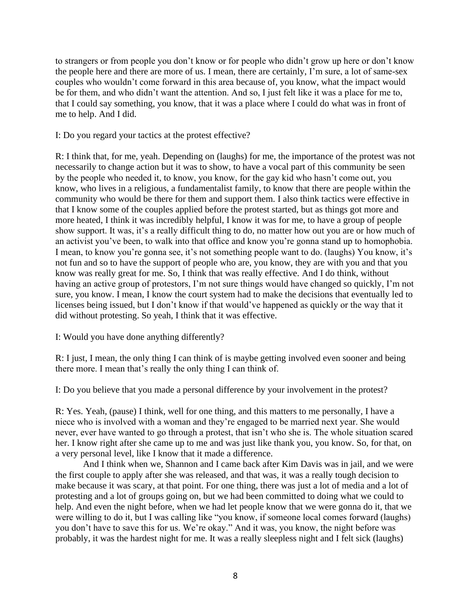to strangers or from people you don't know or for people who didn't grow up here or don't know the people here and there are more of us. I mean, there are certainly, I'm sure, a lot of same-sex couples who wouldn't come forward in this area because of, you know, what the impact would be for them, and who didn't want the attention. And so, I just felt like it was a place for me to, that I could say something, you know, that it was a place where I could do what was in front of me to help. And I did.

I: Do you regard your tactics at the protest effective?

R: I think that, for me, yeah. Depending on (laughs) for me, the importance of the protest was not necessarily to change action but it was to show, to have a vocal part of this community be seen by the people who needed it, to know, you know, for the gay kid who hasn't come out, you know, who lives in a religious, a fundamentalist family, to know that there are people within the community who would be there for them and support them. I also think tactics were effective in that I know some of the couples applied before the protest started, but as things got more and more heated, I think it was incredibly helpful, I know it was for me, to have a group of people show support. It was, it's a really difficult thing to do, no matter how out you are or how much of an activist you've been, to walk into that office and know you're gonna stand up to homophobia. I mean, to know you're gonna see, it's not something people want to do. (laughs) You know, it's not fun and so to have the support of people who are, you know, they are with you and that you know was really great for me. So, I think that was really effective. And I do think, without having an active group of protestors, I'm not sure things would have changed so quickly, I'm not sure, you know. I mean, I know the court system had to make the decisions that eventually led to licenses being issued, but I don't know if that would've happened as quickly or the way that it did without protesting. So yeah, I think that it was effective.

I: Would you have done anything differently?

R: I just, I mean, the only thing I can think of is maybe getting involved even sooner and being there more. I mean that's really the only thing I can think of.

I: Do you believe that you made a personal difference by your involvement in the protest?

R: Yes. Yeah, (pause) I think, well for one thing, and this matters to me personally, I have a niece who is involved with a woman and they're engaged to be married next year. She would never, ever have wanted to go through a protest, that isn't who she is. The whole situation scared her. I know right after she came up to me and was just like thank you, you know. So, for that, on a very personal level, like I know that it made a difference.

And I think when we, Shannon and I came back after Kim Davis was in jail, and we were the first couple to apply after she was released, and that was, it was a really tough decision to make because it was scary, at that point. For one thing, there was just a lot of media and a lot of protesting and a lot of groups going on, but we had been committed to doing what we could to help. And even the night before, when we had let people know that we were gonna do it, that we were willing to do it, but I was calling like "you know, if someone local comes forward (laughs) you don't have to save this for us. We're okay." And it was, you know, the night before was probably, it was the hardest night for me. It was a really sleepless night and I felt sick (laughs)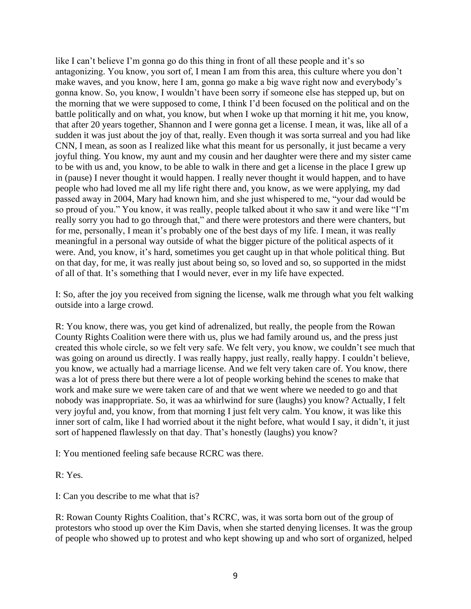like I can't believe I'm gonna go do this thing in front of all these people and it's so antagonizing. You know, you sort of, I mean I am from this area, this culture where you don't make waves, and you know, here I am, gonna go make a big wave right now and everybody's gonna know. So, you know, I wouldn't have been sorry if someone else has stepped up, but on the morning that we were supposed to come, I think I'd been focused on the political and on the battle politically and on what, you know, but when I woke up that morning it hit me, you know, that after 20 years together, Shannon and I were gonna get a license. I mean, it was, like all of a sudden it was just about the joy of that, really. Even though it was sorta surreal and you had like CNN, I mean, as soon as I realized like what this meant for us personally, it just became a very joyful thing. You know, my aunt and my cousin and her daughter were there and my sister came to be with us and, you know, to be able to walk in there and get a license in the place I grew up in (pause) I never thought it would happen. I really never thought it would happen, and to have people who had loved me all my life right there and, you know, as we were applying, my dad passed away in 2004, Mary had known him, and she just whispered to me, "your dad would be so proud of you." You know, it was really, people talked about it who saw it and were like "I'm really sorry you had to go through that," and there were protestors and there were chanters, but for me, personally, I mean it's probably one of the best days of my life. I mean, it was really meaningful in a personal way outside of what the bigger picture of the political aspects of it were. And, you know, it's hard, sometimes you get caught up in that whole political thing. But on that day, for me, it was really just about being so, so loved and so, so supported in the midst of all of that. It's something that I would never, ever in my life have expected.

I: So, after the joy you received from signing the license, walk me through what you felt walking outside into a large crowd.

R: You know, there was, you get kind of adrenalized, but really, the people from the Rowan County Rights Coalition were there with us, plus we had family around us, and the press just created this whole circle, so we felt very safe. We felt very, you know, we couldn't see much that was going on around us directly. I was really happy, just really, really happy. I couldn't believe, you know, we actually had a marriage license. And we felt very taken care of. You know, there was a lot of press there but there were a lot of people working behind the scenes to make that work and make sure we were taken care of and that we went where we needed to go and that nobody was inappropriate. So, it was aa whirlwind for sure (laughs) you know? Actually, I felt very joyful and, you know, from that morning I just felt very calm. You know, it was like this inner sort of calm, like I had worried about it the night before, what would I say, it didn't, it just sort of happened flawlessly on that day. That's honestly (laughs) you know?

I: You mentioned feeling safe because RCRC was there.

R: Yes.

I: Can you describe to me what that is?

R: Rowan County Rights Coalition, that's RCRC, was, it was sorta born out of the group of protestors who stood up over the Kim Davis, when she started denying licenses. It was the group of people who showed up to protest and who kept showing up and who sort of organized, helped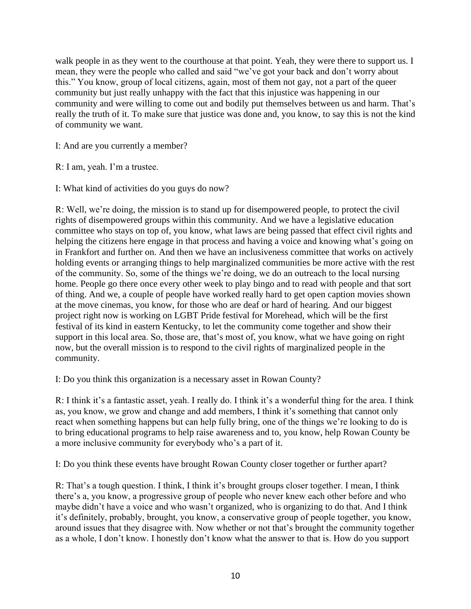walk people in as they went to the courthouse at that point. Yeah, they were there to support us. I mean, they were the people who called and said "we've got your back and don't worry about this." You know, group of local citizens, again, most of them not gay, not a part of the queer community but just really unhappy with the fact that this injustice was happening in our community and were willing to come out and bodily put themselves between us and harm. That's really the truth of it. To make sure that justice was done and, you know, to say this is not the kind of community we want.

I: And are you currently a member?

R: I am, yeah. I'm a trustee.

I: What kind of activities do you guys do now?

R: Well, we're doing, the mission is to stand up for disempowered people, to protect the civil rights of disempowered groups within this community. And we have a legislative education committee who stays on top of, you know, what laws are being passed that effect civil rights and helping the citizens here engage in that process and having a voice and knowing what's going on in Frankfort and further on. And then we have an inclusiveness committee that works on actively holding events or arranging things to help marginalized communities be more active with the rest of the community. So, some of the things we're doing, we do an outreach to the local nursing home. People go there once every other week to play bingo and to read with people and that sort of thing. And we, a couple of people have worked really hard to get open caption movies shown at the move cinemas, you know, for those who are deaf or hard of hearing. And our biggest project right now is working on LGBT Pride festival for Morehead, which will be the first festival of its kind in eastern Kentucky, to let the community come together and show their support in this local area. So, those are, that's most of, you know, what we have going on right now, but the overall mission is to respond to the civil rights of marginalized people in the community.

I: Do you think this organization is a necessary asset in Rowan County?

R: I think it's a fantastic asset, yeah. I really do. I think it's a wonderful thing for the area. I think as, you know, we grow and change and add members, I think it's something that cannot only react when something happens but can help fully bring, one of the things we're looking to do is to bring educational programs to help raise awareness and to, you know, help Rowan County be a more inclusive community for everybody who's a part of it.

I: Do you think these events have brought Rowan County closer together or further apart?

R: That's a tough question. I think, I think it's brought groups closer together. I mean, I think there's a, you know, a progressive group of people who never knew each other before and who maybe didn't have a voice and who wasn't organized, who is organizing to do that. And I think it's definitely, probably, brought, you know, a conservative group of people together, you know, around issues that they disagree with. Now whether or not that's brought the community together as a whole, I don't know. I honestly don't know what the answer to that is. How do you support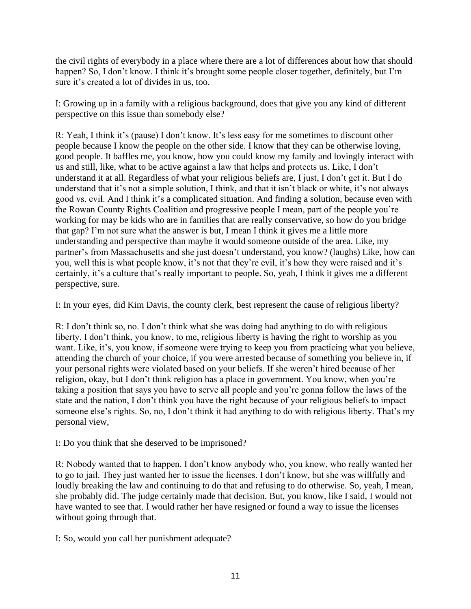the civil rights of everybody in a place where there are a lot of differences about how that should happen? So, I don't know. I think it's brought some people closer together, definitely, but I'm sure it's created a lot of divides in us, too.

I: Growing up in a family with a religious background, does that give you any kind of different perspective on this issue than somebody else?

R: Yeah, I think it's (pause) I don't know. It's less easy for me sometimes to discount other people because I know the people on the other side. I know that they can be otherwise loving, good people. It baffles me, you know, how you could know my family and lovingly interact with us and still, like, what to be active against a law that helps and protects us. Like, I don't understand it at all. Regardless of what your religious beliefs are, I just, I don't get it. But I do understand that it's not a simple solution, I think, and that it isn't black or white, it's not always good vs. evil. And I think it's a complicated situation. And finding a solution, because even with the Rowan County Rights Coalition and progressive people I mean, part of the people you're working for may be kids who are in families that are really conservative, so how do you bridge that gap? I'm not sure what the answer is but, I mean I think it gives me a little more understanding and perspective than maybe it would someone outside of the area. Like, my partner's from Massachusetts and she just doesn't understand, you know? (laughs) Like, how can you, well this is what people know, it's not that they're evil, it's how they were raised and it's certainly, it's a culture that's really important to people. So, yeah, I think it gives me a different perspective, sure.

I: In your eyes, did Kim Davis, the county clerk, best represent the cause of religious liberty?

R: I don't think so, no. I don't think what she was doing had anything to do with religious liberty. I don't think, you know, to me, religious liberty is having the right to worship as you want. Like, it's, you know, if someone were trying to keep you from practicing what you believe, attending the church of your choice, if you were arrested because of something you believe in, if your personal rights were violated based on your beliefs. If she weren't hired because of her religion, okay, but I don't think religion has a place in government. You know, when you're taking a position that says you have to serve all people and you're gonna follow the laws of the state and the nation, I don't think you have the right because of your religious beliefs to impact someone else's rights. So, no, I don't think it had anything to do with religious liberty. That's my personal view,

I: Do you think that she deserved to be imprisoned?

R: Nobody wanted that to happen. I don't know anybody who, you know, who really wanted her to go to jail. They just wanted her to issue the licenses. I don't know, but she was willfully and loudly breaking the law and continuing to do that and refusing to do otherwise. So, yeah, I mean, she probably did. The judge certainly made that decision. But, you know, like I said, I would not have wanted to see that. I would rather her have resigned or found a way to issue the licenses without going through that.

I: So, would you call her punishment adequate?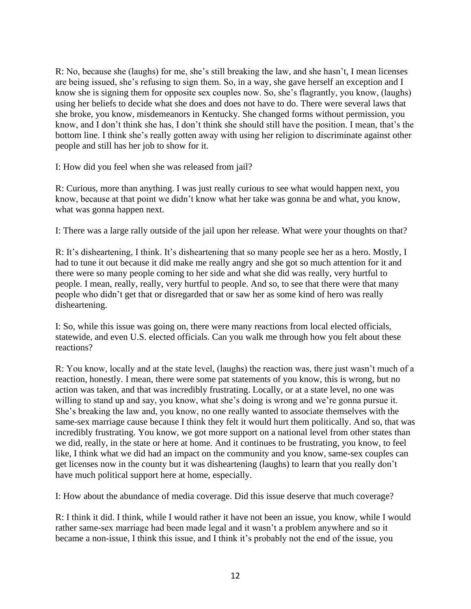R: No, because she (laughs) for me, she's still breaking the law, and she hasn't, I mean licenses are being issued, she's refusing to sign them. So, in a way, she gave herself an exception and I know she is signing them for opposite sex couples now. So, she's flagrantly, you know, (laughs) using her beliefs to decide what she does and does not have to do. There were several laws that she broke, you know, misdemeanors in Kentucky. She changed forms without permission, you know, and I don't think she has, I don't think she should still have the position. I mean, that's the bottom line. I think she's really gotten away with using her religion to discriminate against other people and still has her job to show for it.

I: How did you feel when she was released from jail?

R: Curious, more than anything. I was just really curious to see what would happen next, you know, because at that point we didn't know what her take was gonna be and what, you know, what was gonna happen next.

I: There was a large rally outside of the jail upon her release. What were your thoughts on that?

R: It's disheartening, I think. It's disheartening that so many people see her as a hero. Mostly, I had to tune it out because it did make me really angry and she got so much attention for it and there were so many people coming to her side and what she did was really, very hurtful to people. I mean, really, really, very hurtful to people. And so, to see that there were that many people who didn't get that or disregarded that or saw her as some kind of hero was really disheartening.

I: So, while this issue was going on, there were many reactions from local elected officials, statewide, and even U.S. elected officials. Can you walk me through how you felt about these reactions?

R: You know, locally and at the state level, (laughs) the reaction was, there just wasn't much of a reaction, honestly. I mean, there were some pat statements of you know, this is wrong, but no action was taken, and that was incredibly frustrating. Locally, or at a state level, no one was willing to stand up and say, you know, what she's doing is wrong and we're gonna pursue it. She's breaking the law and, you know, no one really wanted to associate themselves with the same-sex marriage cause because I think they felt it would hurt them politically. And so, that was incredibly frustrating. You know, we got more support on a national level from other states than we did, really, in the state or here at home. And it continues to be frustrating, you know, to feel like, I think what we did had an impact on the community and you know, same-sex couples can get licenses now in the county but it was disheartening (laughs) to learn that you really don't have much political support here at home, especially.

I: How about the abundance of media coverage. Did this issue deserve that much coverage?

R: I think it did. I think, while I would rather it have not been an issue, you know, while I would rather same-sex marriage had been made legal and it wasn't a problem anywhere and so it became a non-issue, I think this issue, and I think it's probably not the end of the issue, you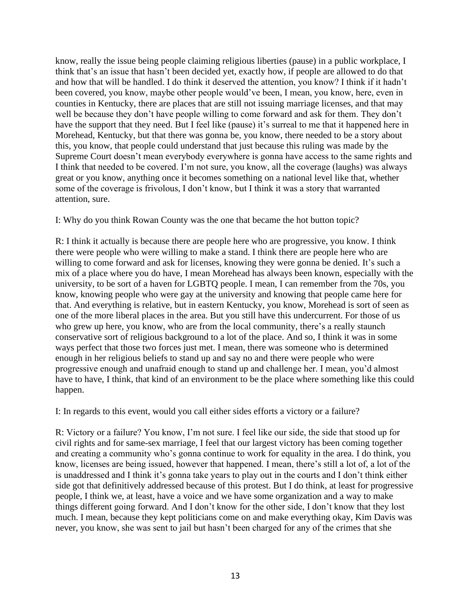know, really the issue being people claiming religious liberties (pause) in a public workplace, I think that's an issue that hasn't been decided yet, exactly how, if people are allowed to do that and how that will be handled. I do think it deserved the attention, you know? I think if it hadn't been covered, you know, maybe other people would've been, I mean, you know, here, even in counties in Kentucky, there are places that are still not issuing marriage licenses, and that may well be because they don't have people willing to come forward and ask for them. They don't have the support that they need. But I feel like (pause) it's surreal to me that it happened here in Morehead, Kentucky, but that there was gonna be, you know, there needed to be a story about this, you know, that people could understand that just because this ruling was made by the Supreme Court doesn't mean everybody everywhere is gonna have access to the same rights and I think that needed to be covered. I'm not sure, you know, all the coverage (laughs) was always great or you know, anything once it becomes something on a national level like that, whether some of the coverage is frivolous, I don't know, but I think it was a story that warranted attention, sure.

I: Why do you think Rowan County was the one that became the hot button topic?

R: I think it actually is because there are people here who are progressive, you know. I think there were people who were willing to make a stand. I think there are people here who are willing to come forward and ask for licenses, knowing they were gonna be denied. It's such a mix of a place where you do have, I mean Morehead has always been known, especially with the university, to be sort of a haven for LGBTQ people. I mean, I can remember from the 70s, you know, knowing people who were gay at the university and knowing that people came here for that. And everything is relative, but in eastern Kentucky, you know, Morehead is sort of seen as one of the more liberal places in the area. But you still have this undercurrent. For those of us who grew up here, you know, who are from the local community, there's a really staunch conservative sort of religious background to a lot of the place. And so, I think it was in some ways perfect that those two forces just met. I mean, there was someone who is determined enough in her religious beliefs to stand up and say no and there were people who were progressive enough and unafraid enough to stand up and challenge her. I mean, you'd almost have to have, I think, that kind of an environment to be the place where something like this could happen.

I: In regards to this event, would you call either sides efforts a victory or a failure?

R: Victory or a failure? You know, I'm not sure. I feel like our side, the side that stood up for civil rights and for same-sex marriage, I feel that our largest victory has been coming together and creating a community who's gonna continue to work for equality in the area. I do think, you know, licenses are being issued, however that happened. I mean, there's still a lot of, a lot of the is unaddressed and I think it's gonna take years to play out in the courts and I don't think either side got that definitively addressed because of this protest. But I do think, at least for progressive people, I think we, at least, have a voice and we have some organization and a way to make things different going forward. And I don't know for the other side, I don't know that they lost much. I mean, because they kept politicians come on and make everything okay, Kim Davis was never, you know, she was sent to jail but hasn't been charged for any of the crimes that she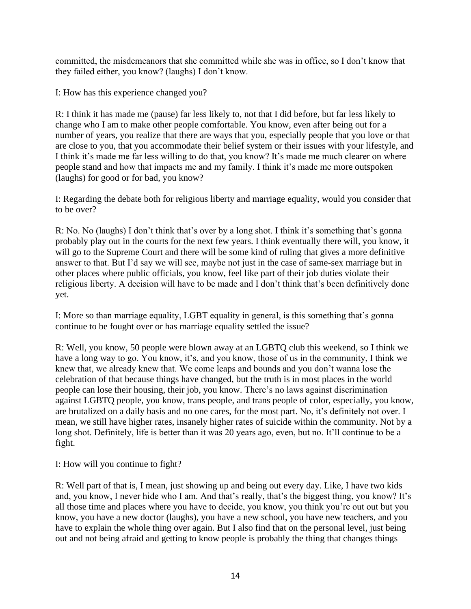committed, the misdemeanors that she committed while she was in office, so I don't know that they failed either, you know? (laughs) I don't know.

I: How has this experience changed you?

R: I think it has made me (pause) far less likely to, not that I did before, but far less likely to change who I am to make other people comfortable. You know, even after being out for a number of years, you realize that there are ways that you, especially people that you love or that are close to you, that you accommodate their belief system or their issues with your lifestyle, and I think it's made me far less willing to do that, you know? It's made me much clearer on where people stand and how that impacts me and my family. I think it's made me more outspoken (laughs) for good or for bad, you know?

I: Regarding the debate both for religious liberty and marriage equality, would you consider that to be over?

R: No. No (laughs) I don't think that's over by a long shot. I think it's something that's gonna probably play out in the courts for the next few years. I think eventually there will, you know, it will go to the Supreme Court and there will be some kind of ruling that gives a more definitive answer to that. But I'd say we will see, maybe not just in the case of same-sex marriage but in other places where public officials, you know, feel like part of their job duties violate their religious liberty. A decision will have to be made and I don't think that's been definitively done yet.

I: More so than marriage equality, LGBT equality in general, is this something that's gonna continue to be fought over or has marriage equality settled the issue?

R: Well, you know, 50 people were blown away at an LGBTQ club this weekend, so I think we have a long way to go. You know, it's, and you know, those of us in the community, I think we knew that, we already knew that. We come leaps and bounds and you don't wanna lose the celebration of that because things have changed, but the truth is in most places in the world people can lose their housing, their job, you know. There's no laws against discrimination against LGBTQ people, you know, trans people, and trans people of color, especially, you know, are brutalized on a daily basis and no one cares, for the most part. No, it's definitely not over. I mean, we still have higher rates, insanely higher rates of suicide within the community. Not by a long shot. Definitely, life is better than it was 20 years ago, even, but no. It'll continue to be a fight.

I: How will you continue to fight?

R: Well part of that is, I mean, just showing up and being out every day. Like, I have two kids and, you know, I never hide who I am. And that's really, that's the biggest thing, you know? It's all those time and places where you have to decide, you know, you think you're out out but you know, you have a new doctor (laughs), you have a new school, you have new teachers, and you have to explain the whole thing over again. But I also find that on the personal level, just being out and not being afraid and getting to know people is probably the thing that changes things